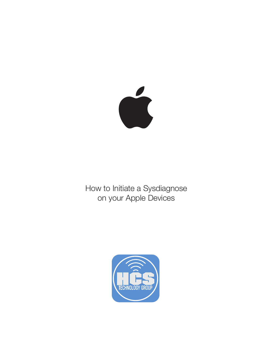

How to Initiate a Sysdiagnose on your Apple Devices

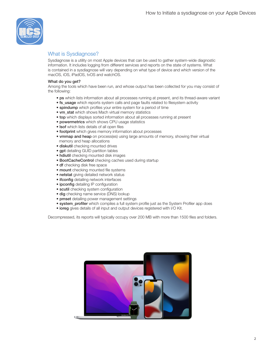

### What is Sysdiagnose?

Sysdiagnose is a utility on most Apple devices that can be used to gather system-wide diagnostic information. It includes logging from different services and reports on the state of systems. What is contained in a sysdiagnose will vary depending on what type of device and which version of the macOS, iOS, iPadOS, tvOS and watchOS.

#### What do you get?

Among the tools which have been run, and whose output has been collected for you may consist of the following:

- ps which lists information about all processes running at present, and its thread-aware variant
- fs\_usage which reports system calls and page faults related to filesystem activity
- spindump which profiles your entire system for a period of time
- vm\_stat which shows Mach virtual memory statistics
- top which displays sorted information about all processes running at present
- powermetrics which shows CPU usage statistics
- lsof which lists details of all open files
- footprint which gives memory information about processes
- vmmap and heap on process(es) using large amounts of memory, showing their virtual memory and heap allocations
- diskutil checking mounted drives
- gpt detailing GUID partition tables
- hdiutil checking mounted disk images
- BootCacheControl checking caches used during startup
- df checking disk free space
- mount checking mounted file systems
- netstat giving detailed network status
- ifconfig detailing network interfaces
- ipconfig detailing IP configuration
- scutil checking system configuration
- dig checking name service (DNS) lookup
- pmset detailing power management settings
- system\_profiler which compiles a full system profile just as the System Profiler app does
- ioreg gives details of all input and output devices registered with I/O Kit.

Decompressed, its reports will typically occupy over 200 MB with more than 1500 files and folders.

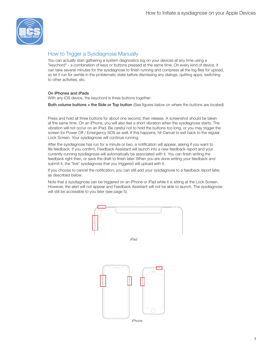

## How to Trigger a Sysdiagnose Manually

You can actually start gathering a system diagnostics log on your devices at any time using a "keychord" - a combination of keys or buttons pressed at the same time. On every kind of device, it can take several minutes for the sysdiagnose to finish running and compress all the log files for upload, so let it run for awhile in the problematic state before dismissing any dialogs, quitting apps, switching to other activities, etc.

#### On iPhones and iPads

With any iOS device, the keychord is three buttons together:

Both volume buttons + the Side or Top button (See figures below on where the buttons are located)

Press and hold all three buttons for about one second, then release. A screenshot should be taken at the same time. On an iPhone, you will also feel a short vibration when the sysdiagnose starts. The vibration will not occur on an iPad. Be careful not to hold the buttons too long, or you may trigger the screen for Power Off / Emergency SOS as well. If this happens, hit Cancel to exit back to the regular Lock Screen. Your sysdiagnose will continue running.

After the sysdiagnose has run for a minute or two, a notification will appear, asking if you want to file feedback. If you confirm, Feedback Assistant will launch into a new feedback report and your currently-running sysdiagnose will automatically be associated with it. You can finish writing the feedback right then, or save the draft to finish later. When you are done writing your feedback and submit it, the "live" sysdiagnose that you triggered will upload with it.

If you choose to cancel the notification, you can still add your sysdiagnose to a feedback report later, as described below.

Note that a sysdiagnose can be triggered on an iPhone or iPad while it is sitting at the Lock Screen. However, the alert will not appear and Feedback Assistant will not be able to launch. The sysdiagnose will still be accessible to you later (see page 5).

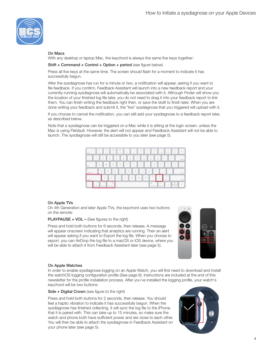

#### On Macs

With any desktop or laptop Mac, the keychord is always the same five keys together:

Shift + Command + Control + Option + period (see figure below)

Press all five keys at the same time. The screen should flash for a moment to indicate it has successfully begun.

After the sysdiagnose has run for a minute or two, a notification will appear, asking if you want to file feedback. If you confirm, Feedback Assistant will launch into a new feedback report and your currently-running sysdiagnose will automatically be associated with it. Although Finder will show you the location of your finished log file later, you do not need to drag it into your feedback report to link them. You can finish writing the feedback right then, or save the draft to finish later. When you are done writing your feedback and submit it, the "live" sysdiagnose that you triggered will upload with it.

If you choose to cancel the notification, you can still add your sysdiagnose to a feedback report later, as described below.

Note that a sysdiagnose can be triggered on a Mac while it is sitting at the login screen, unless the Mac is using FileVault. However, the alert will not appear and Feedback Assistant will not be able to launch. The sysdiagnose will still be accessible to you later (see page 5).



#### On Apple TVs

On 4th Generation and later Apple TVs, the keychord uses two buttons on the remote:

#### PLAYPAUSE + VOL – (See figures to the right)

Press and hold both buttons for 6 seconds, then release. A message will appear onscreen indicating that analytics are running. Then an alert will appear asking if you want to Export the log file. When you choose to export, you can AirDrop the log file to a macOS or iOS device, where you will be able to attach it from Feedback Assistant later (see page 5).



#### On Apple Watches

In order to enable sysdiagnose logging on an Apple Watch, you will first need to download and install the watchOS logging configuration profile (See page 6). Instructions are included at the end of this newsletter for the profile installation process. After you've installed the logging profile, your watch's keychord will be two buttons:

Side + Digital Crown (see figure to the right)

Press and hold both buttons for 2 seconds, then release. You should feel a haptic vibration to indicate it has successfully begun. When the sysdiagnose has finished collecting, it will sync the log file to the iPhone that it is paired with. This can take up to 15 minutes, so make sure the watch and phone both have sufficient power and are close to each other. You will then be able to attach the sysdiagnose in Feedback Assistant on your phone later (see page 5).

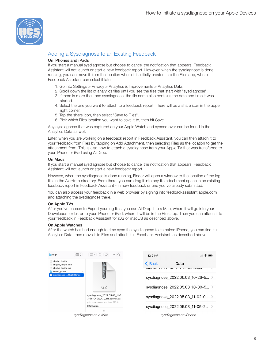

# Adding a Sysdiagnose to an Existing Feedback

#### On iPhones and iPads

If you start a manual sysdiagnose but choose to cancel the notification that appears, Feedback Assistant will not launch or start a new feedback report. However, when the sysdiagnose is done running, you can move it from the location where it is initially created into the Files app, where Feedback Assistant can select it later.

- 1. Go into Settings > Privacy > Analytics & Improvements > Analytics Data.
- 2. Scroll down the list of analytics files until you see the files that start with "sysdiagnose".
- 3. If there is more than one sysdiagnose, the file name also contains the date and time it was started.
- 4. Select the one you want to attach to a feedback report. There will be a share icon in the upper right corner.
- 5. Tap the share icon, then select "Save to Files".
- 6. Pick which Files location you want to save it to, then hit Save.

Any sysdiagnose that was captured on your Apple Watch and synced over can be found in the Analytics Data as well.

Later, when you are working on a feedback report in Feedback Assistant, you can then attach it to your feedback from Files by tapping on Add Attachment, then selecting Files as the location to get the attachment from. This is also how to attach a sysdiagnose from your Apple TV that was transferred to your iPhone or iPad using AirDrop.

#### On Macs

If you start a manual sysdiagnose but choose to cancel the notification that appears, Feedback Assistant will not launch or start a new feedback report.

However, when the sysdiagnose is done running, Finder will open a window to the location of the log file, in the /var/tmp directory. From there, you can drag it into any file attachment space in an existing feedback report in Feedback Assistant - in new feedback or one you've already submitted.

You can also access your feedback in a web browser by signing into feedbackassistant.apple.com and attaching the sysdiagnose there.

#### On Apple TVs

After you've chosen to Export your log files, you can AirDrop it to a Mac, where it will go into your Downloads folder, or to your iPhone or iPad, where it will be in the Files app. Then you can attach it to your feedback in Feedback Assistant for iOS or macOS as described above.

#### On Apple Watches

After the watch has had enough to time sync the sysdiagnose to its paired iPhone, you can find it in Analytics Data, then move it to Files and attach it in Feedback Assistant, as described above.

| $\Box$ tmp                                                                                                  | Ⅲ≎ | 需 > ①<br>◇                                               | $\gg Q$ | $12:21 - 7$   |                                       | $\Box$ $\in$ $\blacksquare$ |
|-------------------------------------------------------------------------------------------------------------|----|----------------------------------------------------------|---------|---------------|---------------------------------------|-----------------------------|
| cbrgbc_1.sqlite<br>cbrgbc_1.sqlite-shm<br>cbrgbc_1.sqlite-wal<br>kernel panics<br>sysdiagnose_21E258.tar.gz |    |                                                          |         | <b>← Back</b> | Data<br>งเดนพง=∠บ∠∠=บบ=บบ= เ∠บบบบ.ipa |                             |
|                                                                                                             |    |                                                          |         |               | sysdiagnose_2022.05.03_10-26-5 >      |                             |
|                                                                                                             |    | GZ                                                       |         |               | sysdiagnose_2022.05.03_10-30-5 >      |                             |
|                                                                                                             |    | sysdiagnose_2022.05.03_11-5<br>3-28-0400_7 21E258.tar.gz |         |               | sysdiagnose_2022.05.03_11-02-0 >      |                             |
|                                                                                                             |    | gzip compressed archive - 397.1<br>Information           |         |               | sysdiagnose 2022.05.03 11-05-2 >      |                             |
|                                                                                                             |    | sysdiagnose on a Mac                                     |         |               | sysdiagnose on iPhone                 |                             |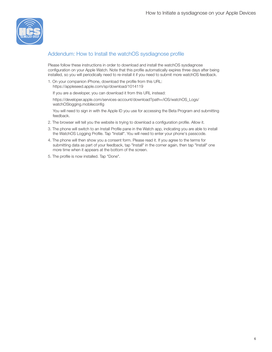

### Addendum: How to Install the watchOS sysdiagnose profile

Please follow these instructions in order to download and install the watchOS sysdiagnose configuration on your Apple Watch. Note that this profile automatically expires three days after being installed, so you will periodically need to re-install it if you need to submit more watchOS feedback.

1. On your companion iPhone, download the profile from this URL: https://appleseed.apple.com/sp/download/1014119

If you are a developer, you can download it from this URL instead:

https://developer.apple.com/services-account/download?path=/iOS/watchOS\_Logs/ watchOSlogging.mobileconfig

You will need to sign in with the Apple ID you use for accessing the Beta Program and submitting feedback.

- 2. The browser will tell you the website is trying to download a configuration profile. Allow it.
- 3. The phone will switch to an Install Profile pane in the Watch app, indicating you are able to install the WatchOS Logging Profile. Tap "Install". You will need to enter your phone's passcode.
- 4. The phone will then show you a consent form. Please read it. If you agree to the terms for submitting data as part of your feedback, tap "Install" in the corner again, then tap "Install" one more time when it appears at the bottom of the screen.
- 5. The profile is now installed. Tap "Done".